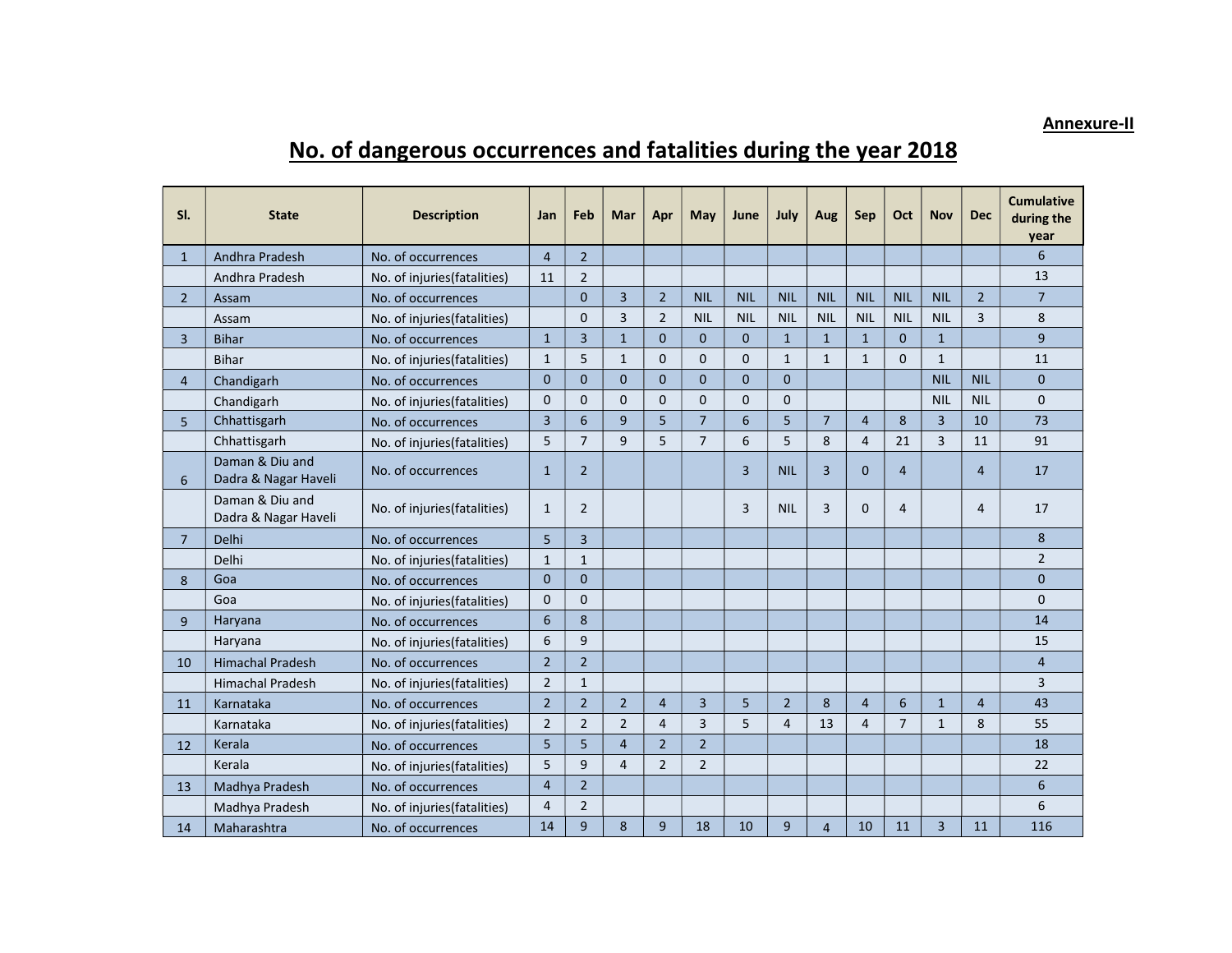## Annexure-II

## No. of dangerous occurrences and fatalities during the year 2018

| SI.            | <b>State</b>                            | <b>Description</b>           | Jan            | Feb            | Mar            | Apr            | May            | June           | July           | Aug            | <b>Sep</b>     | Oct            | <b>Nov</b>     | <b>Dec</b>     | <b>Cumulative</b><br>during the<br>year |
|----------------|-----------------------------------------|------------------------------|----------------|----------------|----------------|----------------|----------------|----------------|----------------|----------------|----------------|----------------|----------------|----------------|-----------------------------------------|
| $\mathbf{1}$   | Andhra Pradesh                          | No. of occurrences           | $\overline{4}$ | $\overline{2}$ |                |                |                |                |                |                |                |                |                |                | 6                                       |
|                | Andhra Pradesh                          | No. of injuries (fatalities) | 11             | $\overline{2}$ |                |                |                |                |                |                |                |                |                |                | 13                                      |
| $2^{\circ}$    | Assam                                   | No. of occurrences           |                | $\mathbf{0}$   | 3              | $\overline{2}$ | <b>NIL</b>     | <b>NIL</b>     | <b>NIL</b>     | <b>NIL</b>     | <b>NIL</b>     | <b>NIL</b>     | <b>NIL</b>     | $\overline{2}$ | $\overline{7}$                          |
|                | Assam                                   | No. of injuries (fatalities) |                | $\Omega$       | 3              | $\overline{2}$ | <b>NIL</b>     | <b>NIL</b>     | <b>NIL</b>     | <b>NIL</b>     | <b>NIL</b>     | <b>NIL</b>     | <b>NIL</b>     | 3              | 8                                       |
| 3              | <b>Bihar</b>                            | No. of occurrences           | $\mathbf{1}$   | 3              | $\mathbf{1}$   | $\mathbf{0}$   | $\mathbf 0$    | $\mathbf{0}$   | $\mathbf{1}$   | $\mathbf{1}$   | $\mathbf{1}$   | $\mathbf{0}$   | $\mathbf{1}$   |                | 9                                       |
|                | <b>Bihar</b>                            | No. of injuries(fatalities)  | $\mathbf{1}$   | 5              | $\mathbf{1}$   | $\mathbf{0}$   | $\mathbf 0$    | $\mathbf{0}$   | $\mathbf{1}$   | $\mathbf{1}$   | $\mathbf{1}$   | $\Omega$       | $\mathbf{1}$   |                | 11                                      |
| $\overline{4}$ | Chandigarh                              | No. of occurrences           | $\mathbf{0}$   | $\mathbf{0}$   | $\mathbf{0}$   | $\mathbf{0}$   | $\mathbf 0$    | $\overline{0}$ | $\mathbf 0$    |                |                |                | <b>NIL</b>     | <b>NIL</b>     | $\overline{0}$                          |
|                | Chandigarh                              | No. of injuries(fatalities)  | $\mathbf{0}$   | $\mathbf{0}$   | $\Omega$       | $\mathbf 0$    | $\Omega$       | $\mathbf 0$    | $\mathbf 0$    |                |                |                | <b>NIL</b>     | <b>NIL</b>     | $\mathbf{0}$                            |
| 5              | Chhattisgarh                            | No. of occurrences           | $\overline{3}$ | 6              | 9              | 5              | $\overline{7}$ | 6              | 5              | $\overline{7}$ | $\overline{4}$ | 8              | $\overline{3}$ | 10             | 73                                      |
|                | Chhattisgarh                            | No. of injuries(fatalities)  | 5              | $\overline{7}$ | 9              | 5              | $\overline{7}$ | 6              | 5              | 8              | 4              | 21             | $\overline{3}$ | 11             | 91                                      |
| 6              | Daman & Diu and<br>Dadra & Nagar Haveli | No. of occurrences           | $\mathbf{1}$   | $\overline{2}$ |                |                |                | 3              | <b>NIL</b>     | $\overline{3}$ | $\mathbf{0}$   | 4              |                | $\overline{4}$ | 17                                      |
|                | Daman & Diu and<br>Dadra & Nagar Haveli | No. of injuries(fatalities)  | $\mathbf{1}$   | $\overline{2}$ |                |                |                | 3              | <b>NIL</b>     | 3              | $\Omega$       | 4              |                | $\overline{4}$ | 17                                      |
| $\overline{7}$ | Delhi                                   | No. of occurrences           | 5              | 3              |                |                |                |                |                |                |                |                |                |                | 8                                       |
|                | Delhi                                   | No. of injuries(fatalities)  | $\mathbf{1}$   | $\mathbf{1}$   |                |                |                |                |                |                |                |                |                |                | $\overline{2}$                          |
| 8              | Goa                                     | No. of occurrences           | $\Omega$       | $\Omega$       |                |                |                |                |                |                |                |                |                |                | $\Omega$                                |
|                | Goa                                     | No. of injuries(fatalities)  | $\mathbf{0}$   | $\Omega$       |                |                |                |                |                |                |                |                |                |                | $\Omega$                                |
| 9              | Haryana                                 | No. of occurrences           | 6              | 8              |                |                |                |                |                |                |                |                |                |                | 14                                      |
|                | Haryana                                 | No. of injuries (fatalities) | 6              | 9              |                |                |                |                |                |                |                |                |                |                | 15                                      |
| 10             | <b>Himachal Pradesh</b>                 | No. of occurrences           | $\overline{2}$ | $\overline{2}$ |                |                |                |                |                |                |                |                |                |                | $\overline{4}$                          |
|                | <b>Himachal Pradesh</b>                 | No. of injuries (fatalities) | $\overline{2}$ | $\mathbf{1}$   |                |                |                |                |                |                |                |                |                |                | 3                                       |
| 11             | Karnataka                               | No. of occurrences           | $\overline{2}$ | $\overline{2}$ | $\overline{2}$ | $\overline{4}$ | 3              | 5              | $\overline{2}$ | 8              | $\overline{4}$ | 6              | $\mathbf{1}$   | $\overline{4}$ | 43                                      |
|                | Karnataka                               | No. of injuries(fatalities)  | $\overline{2}$ | $\overline{2}$ | $\overline{2}$ | $\overline{4}$ | 3              | 5              | 4              | 13             | 4              | $\overline{7}$ | $\mathbf{1}$   | 8              | 55                                      |
| 12             | Kerala                                  | No. of occurrences           | 5              | 5              | $\overline{4}$ | $\overline{2}$ | $\overline{2}$ |                |                |                |                |                |                |                | 18                                      |
|                | Kerala                                  | No. of injuries (fatalities) | 5              | 9              | 4              | $\overline{2}$ | $\overline{2}$ |                |                |                |                |                |                |                | 22                                      |
| 13             | Madhya Pradesh                          | No. of occurrences           | $\overline{4}$ | $\overline{2}$ |                |                |                |                |                |                |                |                |                |                | 6                                       |
|                | Madhya Pradesh                          | No. of injuries(fatalities)  | $\overline{4}$ | $\overline{2}$ |                |                |                |                |                |                |                |                |                |                | 6                                       |
| 14             | Maharashtra                             | No. of occurrences           | 14             | 9              | 8              | 9              | 18             | 10             | 9              | $\overline{4}$ | 10             | 11             | $\overline{3}$ | 11             | 116                                     |